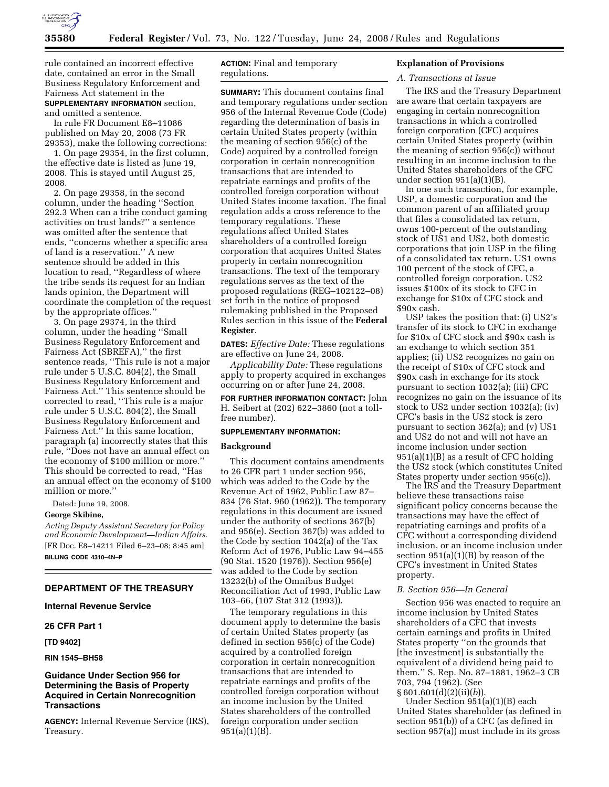

rule contained an incorrect effective date, contained an error in the Small Business Regulatory Enforcement and Fairness Act statement in the **SUPPLEMENTARY INFORMATION** section, and omitted a sentence.

In rule FR Document E8–11086 published on May 20, 2008 (73 FR 29353), make the following corrections:

1. On page 29354, in the first column, the effective date is listed as June 19, 2008. This is stayed until August 25, 2008.

2. On page 29358, in the second column, under the heading ''Section 292.3 When can a tribe conduct gaming activities on trust lands?'' a sentence was omitted after the sentence that ends, ''concerns whether a specific area of land is a reservation.'' A new sentence should be added in this location to read, ''Regardless of where the tribe sends its request for an Indian lands opinion, the Department will coordinate the completion of the request by the appropriate offices.''

3. On page 29374, in the third column, under the heading ''Small Business Regulatory Enforcement and Fairness Act (SBREFA),'' the first sentence reads, ''This rule is not a major rule under 5 U.S.C. 804(2), the Small Business Regulatory Enforcement and Fairness Act.'' This sentence should be corrected to read, ''This rule is a major rule under 5 U.S.C. 804(2), the Small Business Regulatory Enforcement and Fairness Act.'' In this same location, paragraph (a) incorrectly states that this rule, ''Does not have an annual effect on the economy of \$100 million or more.'' This should be corrected to read, ''Has an annual effect on the economy of \$100 million or more.''

Dated: June 19, 2008.

#### **George Skibine,**

*Acting Deputy Assistant Secretary for Policy and Economic Development—Indian Affairs.*  [FR Doc. E8–14211 Filed 6–23–08; 8:45 am] **BILLING CODE 4310–4N–P** 

## **DEPARTMENT OF THE TREASURY**

# **Internal Revenue Service**

# **26 CFR Part 1**

**[TD 9402]** 

## **RIN 1545–BH58**

# **Guidance Under Section 956 for Determining the Basis of Property Acquired in Certain Nonrecognition Transactions**

**AGENCY:** Internal Revenue Service (IRS), Treasury.

**ACTION:** Final and temporary regulations.

**SUMMARY:** This document contains final and temporary regulations under section 956 of the Internal Revenue Code (Code) regarding the determination of basis in certain United States property (within the meaning of section 956(c) of the Code) acquired by a controlled foreign corporation in certain nonrecognition transactions that are intended to repatriate earnings and profits of the controlled foreign corporation without United States income taxation. The final regulation adds a cross reference to the temporary regulations. These regulations affect United States shareholders of a controlled foreign corporation that acquires United States property in certain nonrecognition transactions. The text of the temporary regulations serves as the text of the proposed regulations (REG–102122–08) set forth in the notice of proposed rulemaking published in the Proposed Rules section in this issue of the **Federal Register**.

**DATES:** *Effective Date:* These regulations are effective on June 24, 2008.

*Applicability Date:* These regulations apply to property acquired in exchanges occurring on or after June 24, 2008.

**FOR FURTHER INFORMATION CONTACT:** John H. Seibert at (202) 622–3860 (not a tollfree number).

### **SUPPLEMENTARY INFORMATION:**

## **Background**

This document contains amendments to 26 CFR part 1 under section 956, which was added to the Code by the Revenue Act of 1962, Public Law 87– 834 (76 Stat. 960 (1962)). The temporary regulations in this document are issued under the authority of sections 367(b) and 956(e). Section 367(b) was added to the Code by section 1042(a) of the Tax Reform Act of 1976, Public Law 94–455 (90 Stat. 1520 (1976)). Section 956(e) was added to the Code by section 13232(b) of the Omnibus Budget Reconciliation Act of 1993, Public Law 103–66, (107 Stat 312 (1993)).

The temporary regulations in this document apply to determine the basis of certain United States property (as defined in section 956(c) of the Code) acquired by a controlled foreign corporation in certain nonrecognition transactions that are intended to repatriate earnings and profits of the controlled foreign corporation without an income inclusion by the United States shareholders of the controlled foreign corporation under section 951(a)(1)(B).

### **Explanation of Provisions**

### *A. Transactions at Issue*

The IRS and the Treasury Department are aware that certain taxpayers are engaging in certain nonrecognition transactions in which a controlled foreign corporation (CFC) acquires certain United States property (within the meaning of section 956(c)) without resulting in an income inclusion to the United States shareholders of the CFC under section  $951(a)(1)(B)$ .

In one such transaction, for example, USP, a domestic corporation and the common parent of an affiliated group that files a consolidated tax return, owns 100-percent of the outstanding stock of US1 and US2, both domestic corporations that join USP in the filing of a consolidated tax return. US1 owns 100 percent of the stock of CFC, a controlled foreign corporation. US2 issues \$100x of its stock to CFC in exchange for \$10x of CFC stock and \$90x cash.

USP takes the position that: (i) US2's transfer of its stock to CFC in exchange for \$10x of CFC stock and \$90x cash is an exchange to which section 351 applies; (ii) US2 recognizes no gain on the receipt of \$10x of CFC stock and \$90x cash in exchange for its stock pursuant to section 1032(a); (iii) CFC recognizes no gain on the issuance of its stock to US2 under section 1032(a); (iv) CFC's basis in the US2 stock is zero pursuant to section 362(a); and (v) US1 and US2 do not and will not have an income inclusion under section 951(a)(1)(B) as a result of CFC holding the US2 stock (which constitutes United States property under section 956(c)).

The IRS and the Treasury Department believe these transactions raise significant policy concerns because the transactions may have the effect of repatriating earnings and profits of a CFC without a corresponding dividend inclusion, or an income inclusion under section 951(a)(1)(B) by reason of the CFC's investment in United States property.

#### *B. Section 956—In General*

Section 956 was enacted to require an income inclusion by United States shareholders of a CFC that invests certain earnings and profits in United States property ''on the grounds that [the investment] is substantially the equivalent of a dividend being paid to them.'' S. Rep. No. 87–1881, 1962–3 CB 703, 794 (1962). (See § 601.601(d)(2)(ii)(*b*)).

Under Section 951(a)(1)(B) each United States shareholder (as defined in section 951(b)) of a CFC (as defined in section 957(a)) must include in its gross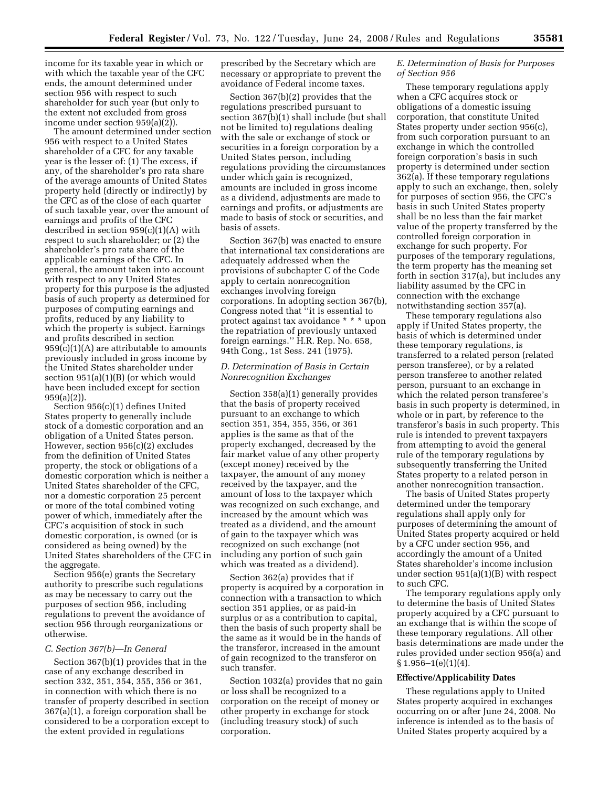income for its taxable year in which or with which the taxable year of the CFC ends, the amount determined under section 956 with respect to such shareholder for such year (but only to the extent not excluded from gross income under section 959(a)(2)).

The amount determined under section 956 with respect to a United States shareholder of a CFC for any taxable year is the lesser of: (1) The excess, if any, of the shareholder's pro rata share of the average amounts of United States property held (directly or indirectly) by the CFC as of the close of each quarter of such taxable year, over the amount of earnings and profits of the CFC described in section  $959(c)(1)(A)$  with respect to such shareholder; or (2) the shareholder's pro rata share of the applicable earnings of the CFC. In general, the amount taken into account with respect to any United States property for this purpose is the adjusted basis of such property as determined for purposes of computing earnings and profits, reduced by any liability to which the property is subject. Earnings and profits described in section  $959(c)(1)(A)$  are attributable to amounts previously included in gross income by the United States shareholder under section 951(a)(1)(B) (or which would have been included except for section 959(a)(2)).

Section 956(c)(1) defines United States property to generally include stock of a domestic corporation and an obligation of a United States person. However, section 956(c)(2) excludes from the definition of United States property, the stock or obligations of a domestic corporation which is neither a United States shareholder of the CFC, nor a domestic corporation 25 percent or more of the total combined voting power of which, immediately after the CFC's acquisition of stock in such domestic corporation, is owned (or is considered as being owned) by the United States shareholders of the CFC in the aggregate.

Section 956(e) grants the Secretary authority to prescribe such regulations as may be necessary to carry out the purposes of section 956, including regulations to prevent the avoidance of section 956 through reorganizations or otherwise.

### *C. Section 367(b)—In General*

Section 367(b)(1) provides that in the case of any exchange described in section 332, 351, 354, 355, 356 or 361, in connection with which there is no transfer of property described in section 367(a)(1), a foreign corporation shall be considered to be a corporation except to the extent provided in regulations

prescribed by the Secretary which are necessary or appropriate to prevent the avoidance of Federal income taxes.

Section 367(b)(2) provides that the regulations prescribed pursuant to section 367(b)(1) shall include (but shall not be limited to) regulations dealing with the sale or exchange of stock or securities in a foreign corporation by a United States person, including regulations providing the circumstances under which gain is recognized, amounts are included in gross income as a dividend, adjustments are made to earnings and profits, or adjustments are made to basis of stock or securities, and basis of assets.

Section 367(b) was enacted to ensure that international tax considerations are adequately addressed when the provisions of subchapter C of the Code apply to certain nonrecognition exchanges involving foreign corporations. In adopting section 367(b), Congress noted that ''it is essential to protect against tax avoidance \* \* \* upon the repatriation of previously untaxed foreign earnings.'' H.R. Rep. No. 658, 94th Cong., 1st Sess. 241 (1975).

# *D. Determination of Basis in Certain Nonrecognition Exchanges*

Section 358(a)(1) generally provides that the basis of property received pursuant to an exchange to which section 351, 354, 355, 356, or 361 applies is the same as that of the property exchanged, decreased by the fair market value of any other property (except money) received by the taxpayer, the amount of any money received by the taxpayer, and the amount of loss to the taxpayer which was recognized on such exchange, and increased by the amount which was treated as a dividend, and the amount of gain to the taxpayer which was recognized on such exchange (not including any portion of such gain which was treated as a dividend).

Section 362(a) provides that if property is acquired by a corporation in connection with a transaction to which section 351 applies, or as paid-in surplus or as a contribution to capital, then the basis of such property shall be the same as it would be in the hands of the transferor, increased in the amount of gain recognized to the transferor on such transfer.

Section 1032(a) provides that no gain or loss shall be recognized to a corporation on the receipt of money or other property in exchange for stock (including treasury stock) of such corporation.

# *E. Determination of Basis for Purposes of Section 956*

These temporary regulations apply when a CFC acquires stock or obligations of a domestic issuing corporation, that constitute United States property under section 956(c), from such corporation pursuant to an exchange in which the controlled foreign corporation's basis in such property is determined under section 362(a). If these temporary regulations apply to such an exchange, then, solely for purposes of section 956, the CFC's basis in such United States property shall be no less than the fair market value of the property transferred by the controlled foreign corporation in exchange for such property. For purposes of the temporary regulations, the term property has the meaning set forth in section 317(a), but includes any liability assumed by the CFC in connection with the exchange notwithstanding section 357(a).

These temporary regulations also apply if United States property, the basis of which is determined under these temporary regulations, is transferred to a related person (related person transferee), or by a related person transferee to another related person, pursuant to an exchange in which the related person transferee's basis in such property is determined, in whole or in part, by reference to the transferor's basis in such property. This rule is intended to prevent taxpayers from attempting to avoid the general rule of the temporary regulations by subsequently transferring the United States property to a related person in another nonrecognition transaction.

The basis of United States property determined under the temporary regulations shall apply only for purposes of determining the amount of United States property acquired or held by a CFC under section 956, and accordingly the amount of a United States shareholder's income inclusion under section 951(a)(1)(B) with respect to such CFC.

The temporary regulations apply only to determine the basis of United States property acquired by a CFC pursuant to an exchange that is within the scope of these temporary regulations. All other basis determinations are made under the rules provided under section 956(a) and  $§ 1.956-1(e)(1)(4).$ 

#### **Effective/Applicability Dates**

These regulations apply to United States property acquired in exchanges occurring on or after June 24, 2008. No inference is intended as to the basis of United States property acquired by a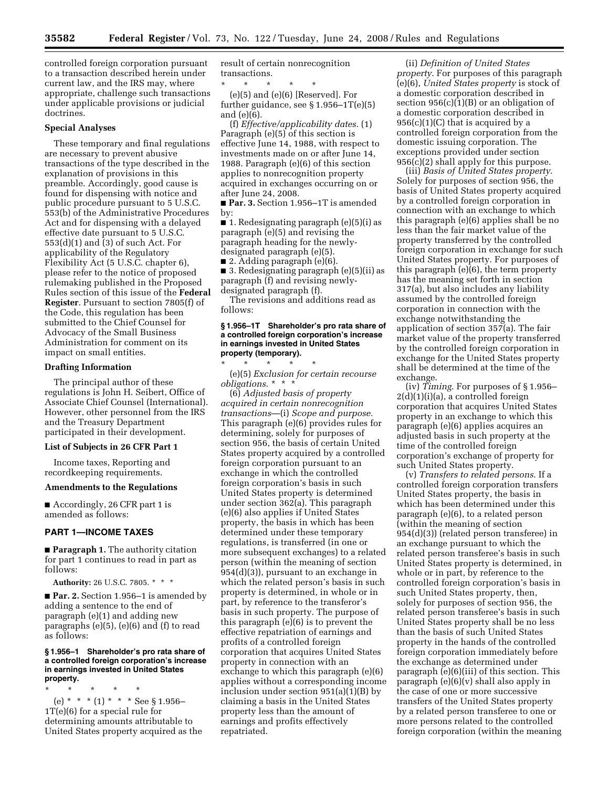controlled foreign corporation pursuant to a transaction described herein under current law, and the IRS may, where appropriate, challenge such transactions under applicable provisions or judicial doctrines.

# **Special Analyses**

These temporary and final regulations are necessary to prevent abusive transactions of the type described in the explanation of provisions in this preamble. Accordingly, good cause is found for dispensing with notice and public procedure pursuant to 5 U.S.C. 553(b) of the Administrative Procedures Act and for dispensing with a delayed effective date pursuant to 5 U.S.C. 553(d)(1) and (3) of such Act. For applicability of the Regulatory Flexibility Act (5 U.S.C. chapter 6), please refer to the notice of proposed rulemaking published in the Proposed Rules section of this issue of the **Federal Register**. Pursuant to section 7805(f) of the Code, this regulation has been submitted to the Chief Counsel for Advocacy of the Small Business Administration for comment on its impact on small entities.

## **Drafting Information**

The principal author of these regulations is John H. Seibert, Office of Associate Chief Counsel (International). However, other personnel from the IRS and the Treasury Department participated in their development.

#### **List of Subjects in 26 CFR Part 1**

Income taxes, Reporting and recordkeeping requirements.

#### **Amendments to the Regulations**

■ Accordingly, 26 CFR part 1 is amended as follows:

# **PART 1—INCOME TAXES**

■ **Paragraph 1.** The authority citation for part 1 continues to read in part as follows:

**Authority:** 26 U.S.C. 7805. \* \* \*

■ **Par. 2.** Section 1.956–1 is amended by adding a sentence to the end of paragraph (e)(1) and adding new paragraphs (e)(5), (e)(6) and (f) to read as follows:

## **§ 1.956–1 Shareholder's pro rata share of a controlled foreign corporation's increase in earnings invested in United States property.**

\* \* \* \* \*

(e) \* \* \* (1) \* \* \* See § 1.956– 1T(e)(6) for a special rule for determining amounts attributable to United States property acquired as the result of certain nonrecognition transactions.

\* \* \* \* \* (e)(5) and (e)(6) [Reserved]. For further guidance, see  $\S 1.956 - 1T(e)(5)$ and (e)(6).

(f) *Effective/applicability dates*. (1) Paragraph (e)(5) of this section is effective June 14, 1988, with respect to investments made on or after June 14, 1988. Paragraph (e)(6) of this section applies to nonrecognition property acquired in exchanges occurring on or after June 24, 2008.

■ Par. 3. Section 1.956-1T is amended by:

 $\blacksquare$  1. Redesignating paragraph (e)(5)(i) as paragraph (e)(5) and revising the paragraph heading for the newlydesignated paragraph (e)(5).

■ 2. Adding paragraph (e)(6).

■ 3. Redesignating paragraph (e)(5)(ii) as paragraph (f) and revising newlydesignated paragraph (f).

The revisions and additions read as follows:

# **§ 1.956–1T Shareholder's pro rata share of a controlled foreign corporation's increase in earnings invested in United States property (temporary).**

\* \* \* \* \* (e)(5) *Exclusion for certain recourse obligations*. \* \* \*

(6) *Adjusted basis of property acquired in certain nonrecognition transactions*—(i) *Scope and purpose.*  This paragraph (e)(6) provides rules for determining, solely for purposes of section 956, the basis of certain United States property acquired by a controlled foreign corporation pursuant to an exchange in which the controlled foreign corporation's basis in such United States property is determined under section 362(a). This paragraph (e)(6) also applies if United States property, the basis in which has been determined under these temporary regulations, is transferred (in one or more subsequent exchanges) to a related person (within the meaning of section 954(d)(3)), pursuant to an exchange in which the related person's basis in such property is determined, in whole or in part, by reference to the transferor's basis in such property. The purpose of this paragraph (e)(6) is to prevent the effective repatriation of earnings and profits of a controlled foreign corporation that acquires United States property in connection with an exchange to which this paragraph (e)(6) applies without a corresponding income inclusion under section 951(a)(1)(B) by claiming a basis in the United States property less than the amount of earnings and profits effectively repatriated.

(ii) *Definition of United States property*. For purposes of this paragraph (e)(6), *United States property* is stock of a domestic corporation described in section  $956(c)(1)(B)$  or an obligation of a domestic corporation described in  $956(c)(1)(C)$  that is acquired by a controlled foreign corporation from the domestic issuing corporation. The exceptions provided under section 956(c)(2) shall apply for this purpose.

(iii) *Basis of United States property*. Solely for purposes of section 956, the basis of United States property acquired by a controlled foreign corporation in connection with an exchange to which this paragraph (e)(6) applies shall be no less than the fair market value of the property transferred by the controlled foreign corporation in exchange for such United States property. For purposes of this paragraph (e)(6), the term property has the meaning set forth in section 317(a), but also includes any liability assumed by the controlled foreign corporation in connection with the exchange notwithstanding the application of section 357(a). The fair market value of the property transferred by the controlled foreign corporation in exchange for the United States property shall be determined at the time of the exchange.

(iv) *Timing*. For purposes of § 1.956–  $2(d)(1)(i)(a)$ , a controlled foreign corporation that acquires United States property in an exchange to which this paragraph (e)(6) applies acquires an adjusted basis in such property at the time of the controlled foreign corporation's exchange of property for such United States property.

(v) *Transfers to related persons*. If a controlled foreign corporation transfers United States property, the basis in which has been determined under this paragraph (e)(6), to a related person (within the meaning of section 954(d)(3)) (related person transferee) in an exchange pursuant to which the related person transferee's basis in such United States property is determined, in whole or in part, by reference to the controlled foreign corporation's basis in such United States property, then, solely for purposes of section 956, the related person transferee's basis in such United States property shall be no less than the basis of such United States property in the hands of the controlled foreign corporation immediately before the exchange as determined under paragraph (e)(6)(iii) of this section. This paragraph (e)(6)(v) shall also apply in the case of one or more successive transfers of the United States property by a related person transferee to one or more persons related to the controlled foreign corporation (within the meaning